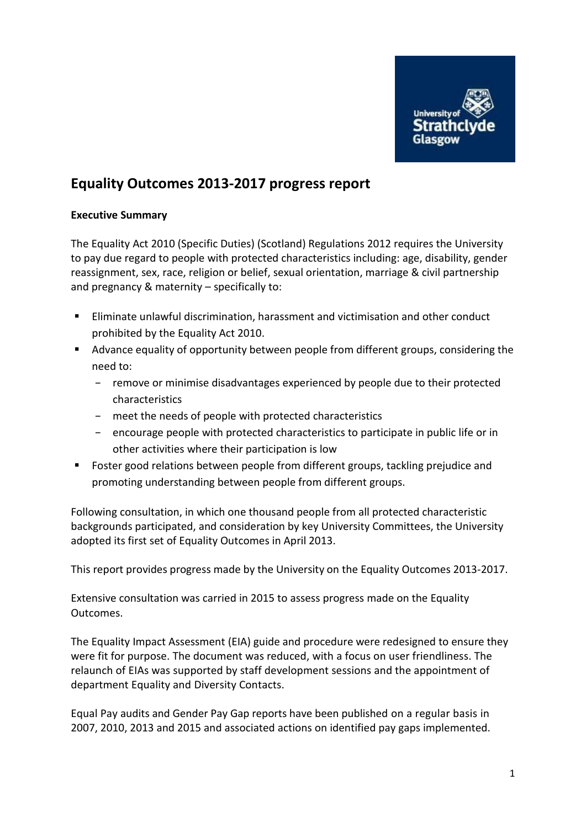

# **Equality Outcomes 2013-2017 progress report**

## **Executive Summary**

The Equality Act 2010 (Specific Duties) (Scotland) Regulations 2012 requires the University to pay due regard to people with protected characteristics including: age, disability, gender reassignment, sex, race, religion or belief, sexual orientation, marriage & civil partnership and pregnancy & maternity – specifically to:

- Eliminate unlawful discrimination, harassment and victimisation and other conduct prohibited by the Equality Act 2010.
- Advance equality of opportunity between people from different groups, considering the need to:
	- − remove or minimise disadvantages experienced by people due to their protected characteristics
	- − meet the needs of people with protected characteristics
	- − encourage people with protected characteristics to participate in public life or in other activities where their participation is low
- Foster good relations between people from different groups, tackling prejudice and promoting understanding between people from different groups.

Following consultation, in which one thousand people from all protected characteristic backgrounds participated, and consideration by key University Committees, the University adopted its first set of Equality Outcomes in April 2013.

This report provides progress made by the University on the Equality Outcomes 2013-2017.

Extensive consultation was carried in 2015 to assess progress made on the Equality Outcomes.

The Equality Impact Assessment (EIA) guide and procedure were redesigned to ensure they were fit for purpose. The document was reduced, with a focus on user friendliness. The relaunch of EIAs was supported by staff development sessions and the appointment of department Equality and Diversity Contacts.

Equal Pay audits and Gender Pay Gap reports have been published on a regular basis in 2007, 2010, 2013 and 2015 and associated actions on identified pay gaps implemented.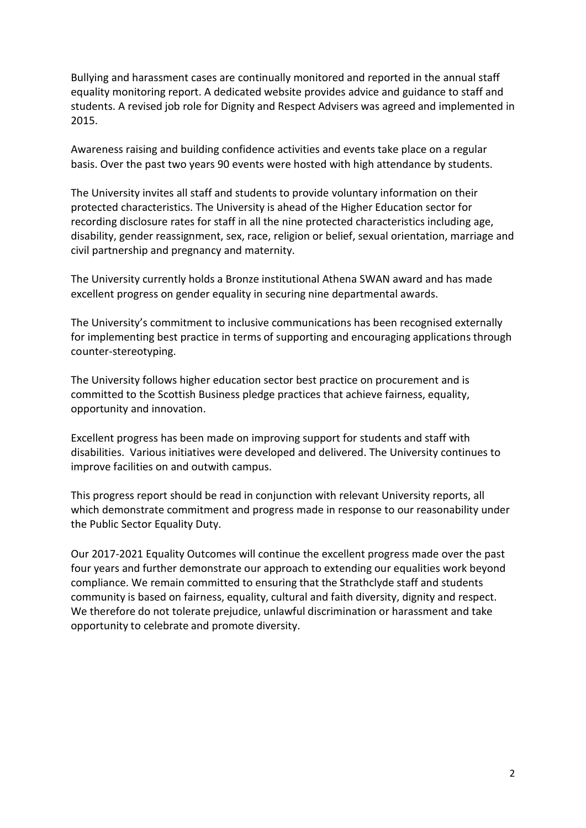Bullying and harassment cases are continually monitored and reported in the annual staff equality monitoring report. A dedicated website provides advice and guidance to staff and students. A revised job role for Dignity and Respect Advisers was agreed and implemented in 2015.

Awareness raising and building confidence activities and events take place on a regular basis. Over the past two years 90 events were hosted with high attendance by students.

The University invites all staff and students to provide voluntary information on their protected characteristics. The University is ahead of the Higher Education sector for recording disclosure rates for staff in all the nine protected characteristics including age, disability, gender reassignment, sex, race, religion or belief, sexual orientation, marriage and civil partnership and pregnancy and maternity.

The University currently holds a Bronze institutional Athena SWAN award and has made excellent progress on gender equality in securing nine departmental awards.

The University's commitment to inclusive communications has been recognised externally for implementing best practice in terms of supporting and encouraging applications through counter-stereotyping.

The University follows higher education sector best practice on procurement and is committed to the Scottish Business pledge practices that achieve fairness, equality, opportunity and innovation.

Excellent progress has been made on improving support for students and staff with disabilities. Various initiatives were developed and delivered. The University continues to improve facilities on and outwith campus.

This progress report should be read in conjunction with relevant University reports, all which demonstrate commitment and progress made in response to our reasonability under the Public Sector Equality Duty.

Our 2017-2021 Equality Outcomes will continue the excellent progress made over the past four years and further demonstrate our approach to extending our equalities work beyond compliance. We remain committed to ensuring that the Strathclyde staff and students community is based on fairness, equality, cultural and faith diversity, dignity and respect. We therefore do not tolerate prejudice, unlawful discrimination or harassment and take opportunity to celebrate and promote diversity.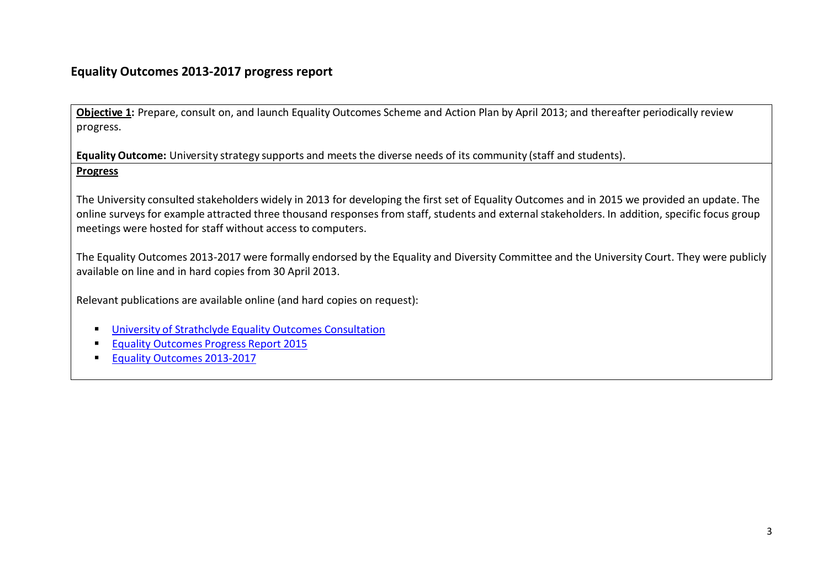## **Equality Outcomes 2013-2017 progress report**

**Objective 1:** Prepare, consult on, and launch Equality Outcomes Scheme and Action Plan by April 2013; and thereafter periodically review progress.

**Equality Outcome:** University strategy supports and meets the diverse needs of its community (staff and students). **Progress**

The University consulted stakeholders widely in 2013 for developing the first set of Equality Outcomes and in 2015 we provided an update. The online surveys for example attracted three thousand responses from staff, students and external stakeholders. In addition, specific focus group meetings were hosted for staff without access to computers.

The Equality Outcomes 2013-2017 were formally endorsed by the Equality and Diversity Committee and the University Court. They were publicly available on line and in hard copies from 30 April 2013.

Relevant publications are available online (and hard copies on request):

- University of Strathclyde Equality Outcomes [Consultation](http://www.strath.ac.uk/media/ps/sees/equality/Strathclyde_Equality_Outcomes_Consultation_Report_April_2013.pdf)
- Equality [Outcomes](http://www.strath.ac.uk/media/ps/sees/equality/Equality_Outcomes_Review_2015_final.pdf) Progress Report 2015
- Equality Outcomes [2013-2017](http://www.strath.ac.uk/media/ps/sees/equality/Strathclyde_Equality_Outcomes_2013-2017.pdf)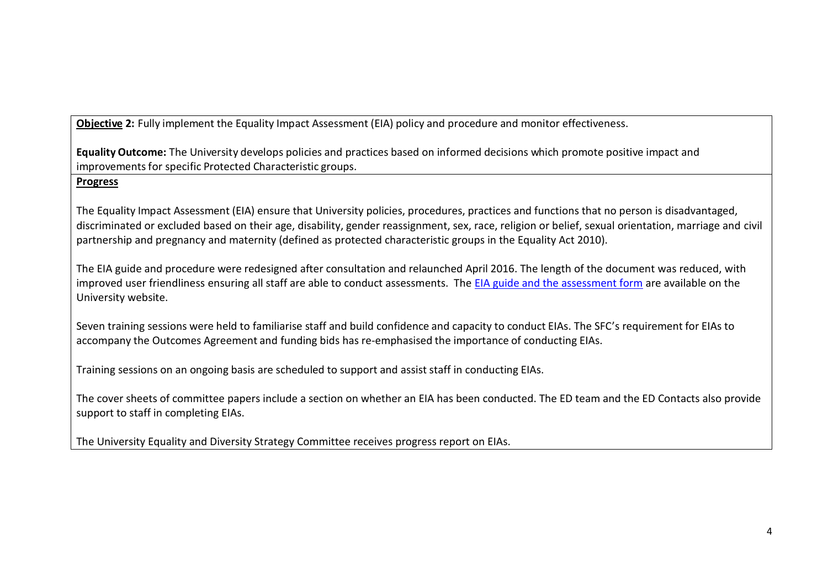**Objective 2:** Fully implement the Equality Impact Assessment (EIA) policy and procedure and monitor effectiveness.

**Equality Outcome:** The University develops policies and practices based on informed decisions which promote positive impact and improvementsfor specific Protected Characteristic groups.

## **Progress**

The Equality Impact Assessment (EIA) ensure that University policies, procedures, practices and functions that no person is disadvantaged, discriminated or excluded based on their age, disability, gender reassignment, sex, race, religion or belief, sexual orientation, marriage and civil partnership and pregnancy and maternity (defined as protected characteristic groups in the Equality Act 2010).

The EIA guide and procedure were redesigned after consultation and relaunched April 2016. The length of the document was reduced, with improved user friendliness ensuring all staff are able to conduct assessments. The [EIA guide and the assessment form](http://www.strath.ac.uk/equalitydiversity/eia/) are available on the University website.

Seven training sessions were held to familiarise staff and build confidence and capacity to conduct EIAs. The SFC's requirement for EIAs to accompany the Outcomes Agreement and funding bids has re-emphasised the importance of conducting EIAs.

Training sessions on an ongoing basis are scheduled to support and assist staff in conducting EIAs.

The cover sheets of committee papers include a section on whether an EIA has been conducted. The ED team and the ED Contacts also provide support to staff in completing EIAs.

The University Equality and Diversity Strategy Committee receives progress report on EIAs.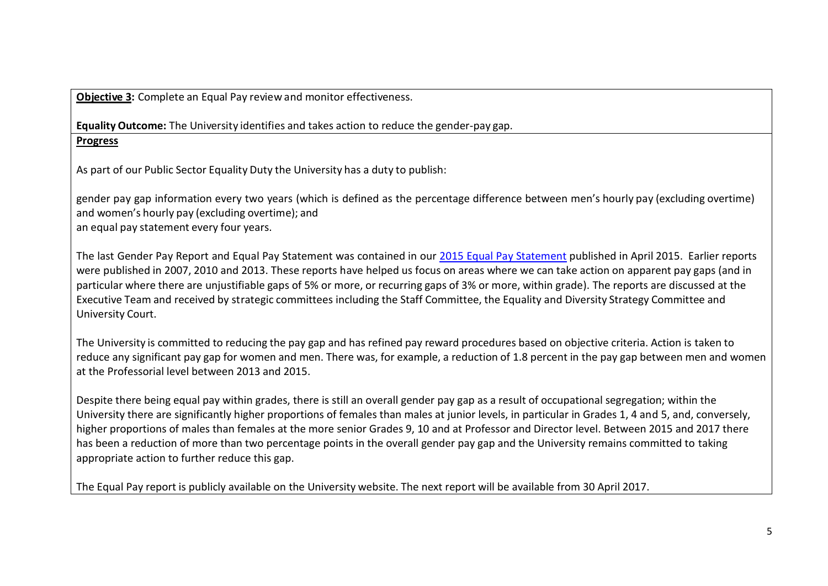**Objective 3:** Complete an Equal Pay review and monitor effectiveness.

**Equality Outcome:** The University identifies and takes action to reduce the gender-pay gap. **Progress**

As part of our Public Sector Equality Duty the University has a duty to publish:

gender pay gap information every two years (which is defined as the percentage difference between men's hourly pay (excluding overtime) and women's hourly pay (excluding overtime); and an equal pay statement every four years.

The last Gender Pay Report and Equal Pay Statement was contained in our 2015 Equal Pay [Statement](http://www.strath.ac.uk/media/ps/sees/equality/Equal_Pay_statement_and_analysis_April_2015_final.pdf) published in April 2015. Earlier reports were published in 2007, 2010 and 2013. These reports have helped us focus on areas where we can take action on apparent pay gaps (and in particular where there are unjustifiable gaps of 5% or more, or recurring gaps of 3% or more, within grade). The reports are discussed at the Executive Team and received by strategic committees including the Staff Committee, the Equality and Diversity Strategy Committee and University Court.

The University is committed to reducing the pay gap and has refined pay reward procedures based on objective criteria. Action is taken to reduce any significant pay gap for women and men. There was, for example, a reduction of 1.8 percent in the pay gap between men and women at the Professorial level between 2013 and 2015.

Despite there being equal pay within grades, there is still an overall gender pay gap as a result of occupational segregation; within the University there are significantly higher proportions of females than males at junior levels, in particular in Grades 1, 4 and 5, and, conversely, higher proportions of males than females at the more senior Grades 9, 10 and at Professor and Director level. Between 2015 and 2017 there has been a reduction of more than two percentage points in the overall gender pay gap and the University remains committed to taking appropriate action to further reduce this gap.

The Equal Pay report is publicly available on the University website. The next report will be available from 30 April 2017.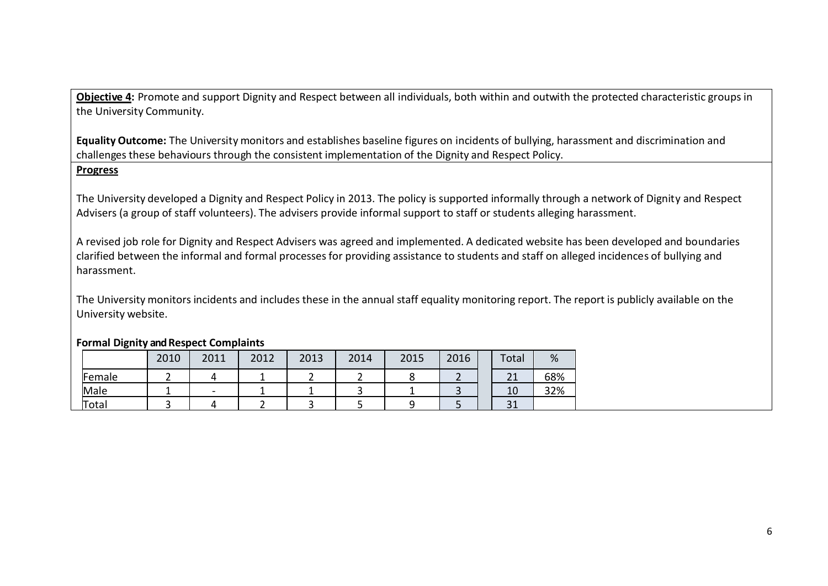**Objective 4:** Promote and support Dignity and Respect between all individuals, both within and outwith the protected characteristic groups in the University Community.

**Equality Outcome:** The University monitors and establishes baseline figures on incidents of bullying, harassment and discrimination and challenges these behaviours through the consistent implementation of the Dignity and Respect Policy.

## **Progress**

The University developed a Dignity and Respect Policy in 2013. The policy is supported informally through a network of Dignity and Respect Advisers (a group of staff volunteers). The advisers provide informal support to staff or students alleging harassment.

A revised job role for Dignity and Respect Advisers was agreed and implemented. A dedicated website has been developed and boundaries clarified between the informal and formal processesfor providing assistance to students and staff on alleged incidences of bullying and harassment.

The University monitors incidents and includes these in the annual staff equality monitoring report. The report is publicly available on the University website.

|        | 2010 | 2011                     | 2012 | 2013 | 2014 | 2015 | 2016 | Total               | %   |
|--------|------|--------------------------|------|------|------|------|------|---------------------|-----|
| Female |      |                          |      |      |      |      |      | ำ1<br>ᅀ             | 68% |
| Male   |      | $\overline{\phantom{a}}$ |      |      |      |      |      | 10                  | 32% |
| Total  |      |                          |      |      |      |      |      | $\mathbf{a}$<br>⊥ ر |     |

## **Formal Dignity and Respect Complaints**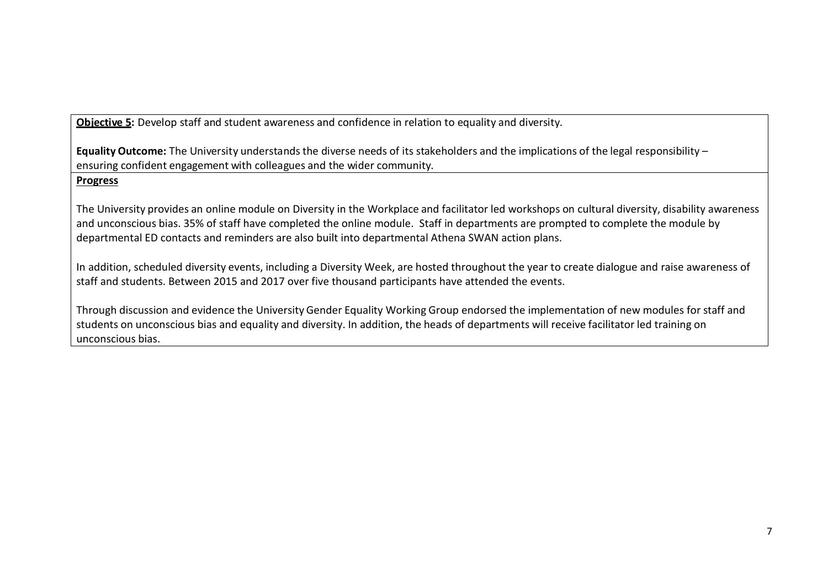**Objective 5:** Develop staff and student awareness and confidence in relation to equality and diversity.

**Equality Outcome:** The University understands the diverse needs of its stakeholders and the implications of the legal responsibility – ensuring confident engagement with colleagues and the wider community.

## **Progress**

The University provides an online module on Diversity in the Workplace and facilitator led workshops on cultural diversity, disability awareness and unconscious bias. 35% of staff have completed the online module. Staff in departments are prompted to complete the module by departmental ED contacts and reminders are also built into departmental Athena SWAN action plans.

In addition, scheduled diversity events, including a Diversity Week, are hosted throughout the year to create dialogue and raise awareness of staff and students. Between 2015 and 2017 over five thousand participants have attended the events.

Through discussion and evidence the University Gender Equality Working Group endorsed the implementation of new modules for staff and students on unconscious bias and equality and diversity. In addition, the heads of departments will receive facilitator led training on unconscious bias.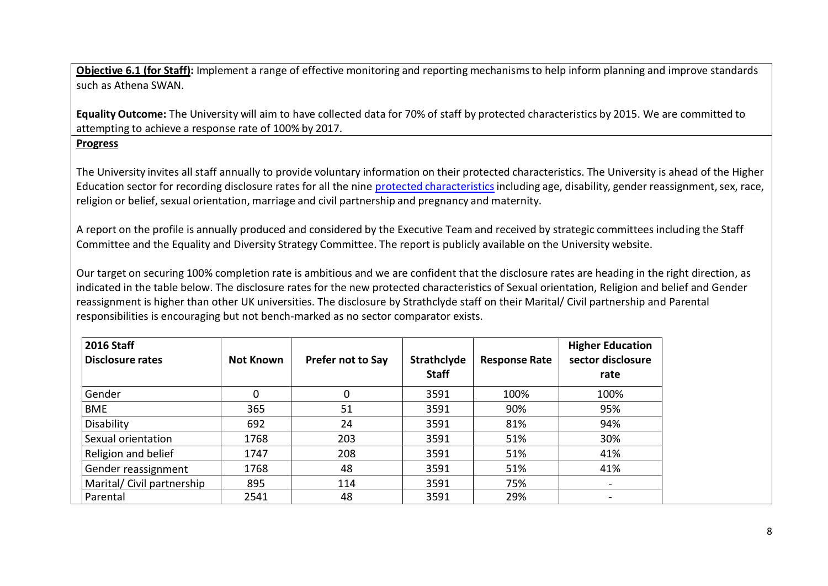**Objective 6.1 (for Staff):** Implement a range of effective monitoring and reporting mechanisms to help inform planning and improve standards such as Athena SWAN.

**Equality Outcome:** The University will aim to have collected data for 70% of staff by protected characteristics by 2015. We are committed to attempting to achieve a response rate of 100% by 2017.

## **Progress**

The University invites all staff annually to provide voluntary information on their protected characteristics. The University is ahead of the Higher Education sector for recording disclosure rates for all the nine protected [characteristicsi](http://www.equalityhumanrights.com/private-and-public-sector-guidance/guidance-all/protected-characteristics)ncluding age, disability, gender reassignment,sex, race, religion or belief, sexual orientation, marriage and civil partnership and pregnancy and maternity.

A report on the profile is annually produced and considered by the Executive Team and received by strategic committees including the Staff Committee and the Equality and Diversity Strategy Committee. The report is publicly available on the University website.

Our target on securing 100% completion rate is ambitious and we are confident that the disclosure rates are heading in the right direction, as indicated in the table below. The disclosure rates for the new protected characteristics of Sexual orientation, Religion and belief and Gender reassignment is higher than other UK universities. The disclosure by Strathclyde staff on their Marital/ Civil partnership and Parental responsibilities is encouraging but not bench-marked as no sector comparator exists.

| <b>2016 Staff</b><br><b>Disclosure rates</b> | <b>Not Known</b> | Prefer not to Say | <b>Strathclyde</b><br><b>Staff</b> | <b>Response Rate</b> | <b>Higher Education</b><br>sector disclosure<br>rate |
|----------------------------------------------|------------------|-------------------|------------------------------------|----------------------|------------------------------------------------------|
| Gender                                       | 0                | 0                 | 3591                               | 100%                 | 100%                                                 |
| <b>BME</b>                                   | 365              | 51                | 3591                               | 90%                  | 95%                                                  |
| Disability                                   | 692              | 24                | 3591                               | 81%                  | 94%                                                  |
| Sexual orientation                           | 1768             | 203               | 3591                               | 51%                  | 30%                                                  |
| Religion and belief                          | 1747             | 208               | 3591                               | 51%                  | 41%                                                  |
| Gender reassignment                          | 1768             | 48                | 3591                               | 51%                  | 41%                                                  |
| Marital/ Civil partnership                   | 895              | 114               | 3591                               | 75%                  |                                                      |
| Parental                                     | 2541             | 48                | 3591                               | 29%                  |                                                      |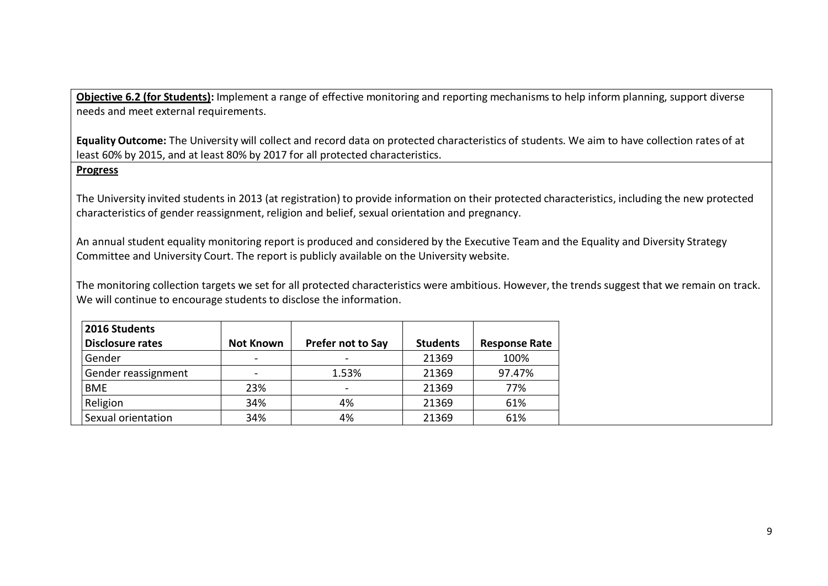**Objective 6.2 (for Students):** Implement a range of effective monitoring and reporting mechanisms to help inform planning, support diverse needs and meet external requirements.

**Equality Outcome:** The University will collect and record data on protected characteristics of students. We aim to have collection rates of at least 60% by 2015, and at least 80% by 2017 for all protected characteristics.

## **Progress**

The University invited students in 2013 (at registration) to provide information on their protected characteristics, including the new protected characteristics of gender reassignment, religion and belief, sexual orientation and pregnancy.

An annual student equality monitoring report is produced and considered by the Executive Team and the Equality and Diversity Strategy Committee and University Court. The report is publicly available on the University website.

The monitoring collection targets we set for all protected characteristics were ambitious. However, the trends suggest that we remain on track. We will continue to encourage students to disclose the information.

| 2016 Students           |                  |                          |                 |                      |
|-------------------------|------------------|--------------------------|-----------------|----------------------|
| <b>Disclosure rates</b> | <b>Not Known</b> | <b>Prefer not to Say</b> | <b>Students</b> | <b>Response Rate</b> |
| Gender                  |                  |                          | 21369           | 100%                 |
| Gender reassignment     |                  | 1.53%                    | 21369           | 97.47%               |
| <b>BME</b>              | 23%              |                          | 21369           | 77%                  |
| Religion                | 34%              | 4%                       | 21369           | 61%                  |
| Sexual orientation      | 34%              | 4%                       | 21369           | 61%                  |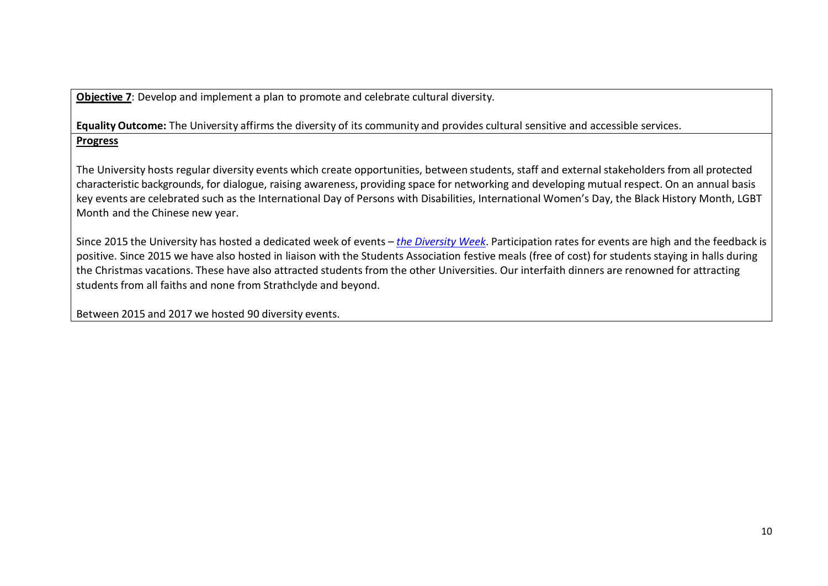**Objective 7**: Develop and implement a plan to promote and celebrate cultural diversity.

**Equality Outcome:** The University affirms the diversity of its community and provides cultural sensitive and accessible services. **Progress**

The University hosts regular diversity events which create opportunities, between students, staff and external stakeholders from all protected characteristic backgrounds, for dialogue, raising awareness, providing space for networking and developing mutual respect. On an annual basis key events are celebrated such as the International Day of Persons with Disabilities, International Women's Day, the Black History Month, LGBT Month and the Chinese new year.

Since 2015 the University has hosted a dedicated week of events – *the [Diversity](http://www.strath.ac.uk/equalitydiversity/diversityweek201720th-24thfebruary/) Week*. Participation rates for events are high and the feedback is positive. Since 2015 we have also hosted in liaison with the Students Association festive meals (free of cost) for students staying in halls during the Christmas vacations. These have also attracted students from the other Universities. Our interfaith dinners are renowned for attracting students from all faiths and none from Strathclyde and beyond.

Between 2015 and 2017 we hosted 90 diversity events.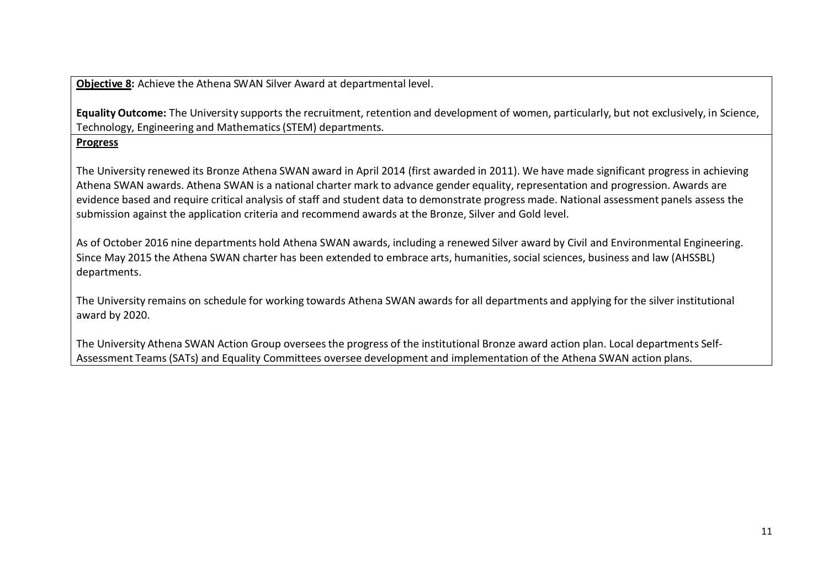**Objective 8:** Achieve the Athena SWAN Silver Award at departmental level.

**Equality Outcome:** The University supports the recruitment, retention and development of women, particularly, but not exclusively, in Science, Technology, Engineering and Mathematics(STEM) departments.

## **Progress**

The University renewed its Bronze Athena SWAN award in April 2014 (first awarded in 2011). We have made significant progress in achieving Athena SWAN awards. Athena SWAN is a national charter mark to advance gender equality, representation and progression. Awards are evidence based and require critical analysis of staff and student data to demonstrate progress made. National assessment panels assess the submission against the application criteria and recommend awards at the Bronze, Silver and Gold level.

As of October 2016 nine departments hold Athena SWAN awards, including a renewed Silver award by Civil and Environmental Engineering. Since May 2015 the Athena SWAN charter has been extended to embrace arts, humanities, social sciences, business and law (AHSSBL) departments.

The University remains on schedule for working towards Athena SWAN awards for all departments and applying for the silver institutional award by 2020.

The University Athena SWAN Action Group overseesthe progress of the institutional Bronze award action plan. Local departments Self-Assessment Teams (SATs) and Equality Committees oversee development and implementation of the Athena SWAN action plans.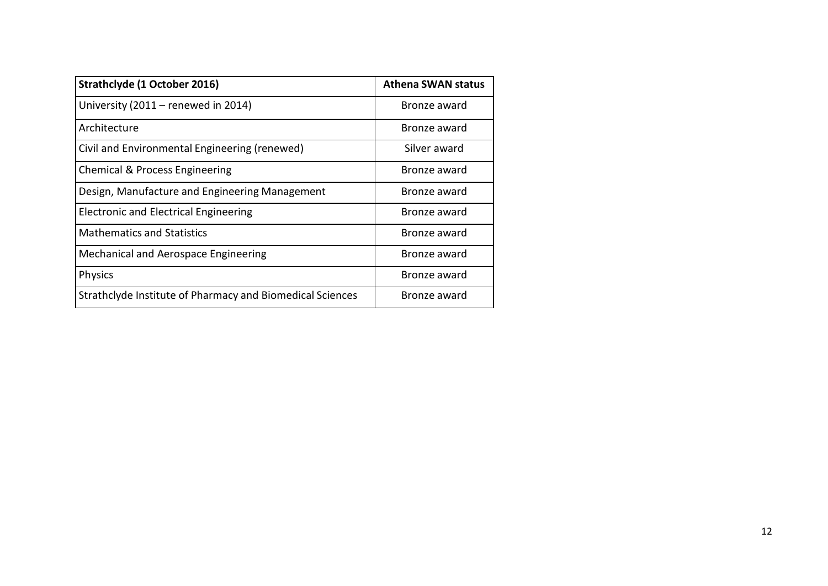| Strathclyde (1 October 2016)                              | <b>Athena SWAN status</b> |
|-----------------------------------------------------------|---------------------------|
| University (2011 – renewed in 2014)                       | Bronze award              |
| Architecture                                              | Bronze award              |
| Civil and Environmental Engineering (renewed)             | Silver award              |
| Chemical & Process Engineering                            | Bronze award              |
| Design, Manufacture and Engineering Management            | Bronze award              |
| <b>Electronic and Electrical Engineering</b>              | Bronze award              |
| <b>Mathematics and Statistics</b>                         | Bronze award              |
| Mechanical and Aerospace Engineering                      | Bronze award              |
| <b>Physics</b>                                            | Bronze award              |
| Strathclyde Institute of Pharmacy and Biomedical Sciences | Bronze award              |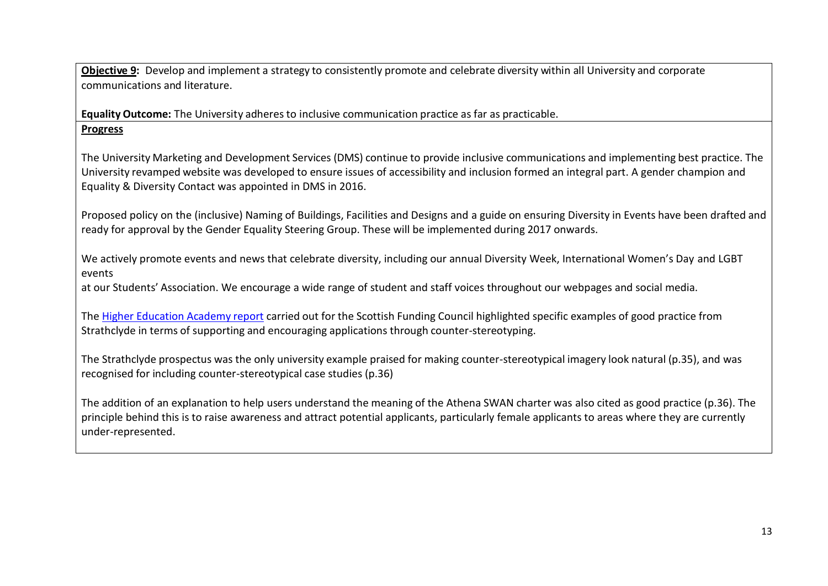**Objective 9:** Develop and implement a strategy to consistently promote and celebrate diversity within all University and corporate communications and literature.

**Equality Outcome:** The University adheres to inclusive communication practice as far as practicable. **Progress**

The University Marketing and Development Services (DMS) continue to provide inclusive communications and implementing best practice. The University revamped website was developed to ensure issues of accessibility and inclusion formed an integral part. A gender champion and Equality & Diversity Contact was appointed in DMS in 2016.

Proposed policy on the (inclusive) Naming of Buildings, Facilities and Designs and a guide on ensuring Diversity in Events have been drafted and ready for approval by the Gender Equality Steering Group. These will be implemented during 2017 onwards.

We actively promote events and news that celebrate diversity, including our annual Diversity Week, International Women's Day and LGBT events

at our Students' Association. We encourage a wide range of student and staff voices throughout our webpages and social media.

The Higher [Education](https://nemo.strath.ac.uk/owa/redir.aspx?SURL=aCxMV6Di7Jau7HuLCTh0hdQKb_0puKGVpGyqrXSAhtqTRLDwZXPUCGgAdAB0AHAAcwA6AC8ALwB3AHcAdwAuAGgAZQBhAGMAYQBkAGUAbQB5AC4AYQBjAC4AdQBrAC8AcwB5AHMAdABlAG0ALwBmAGkAbABlAHMALwB3AGgAbwBzAGUAXwBqAG8AYgBfAGkAcwBfAGkAdABfAGEAbgB5AHcAYQB5AF8ALQBfAGYAaQBuAGEAbABfAHIAZQBwAG8AcgB0AC4AcABkAGYA&URL=https%3a%2f%2fwww.heacademy.ac.uk%2fsystem%2ffiles%2fwhose_job_is_it_anyway_-_final_report.pdf) Academy report carried out for the Scottish Funding Council highlighted specific examples of good practice from Strathclyde in terms of supporting and encouraging applications through counter-stereotyping.

The Strathclyde prospectus was the only university example praised for making counter-stereotypical imagery look natural (p.35), and was recognised for including counter-stereotypical case studies (p.36)

The addition of an explanation to help users understand the meaning of the Athena SWAN charter was also cited as good practice (p.36). The principle behind this is to raise awareness and attract potential applicants, particularly female applicants to areas where they are currently under-represented.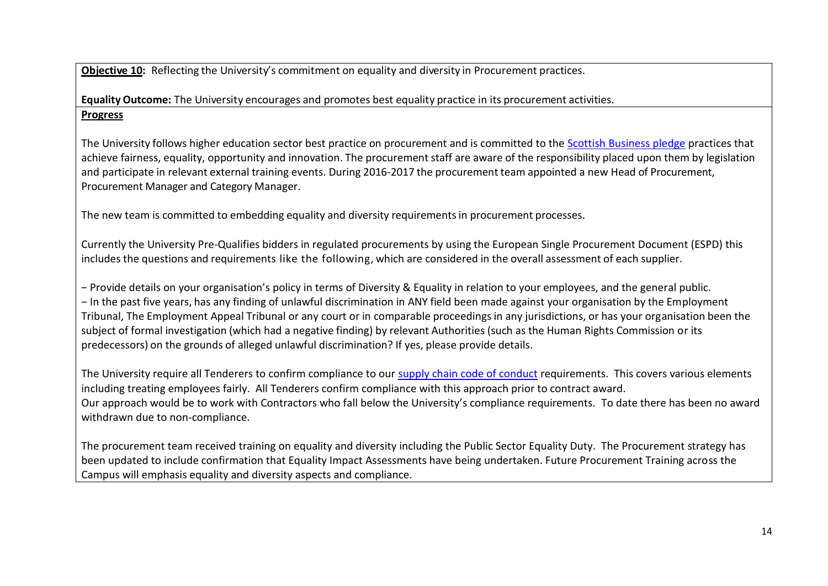**Objective 10:** Reflecting the University's commitment on equality and diversity in Procurement practices.

**Equality Outcome:** The University encourages and promotes best equality practice in its procurement activities. **Progress**

The University follows higher education sector best practice on procurement and is committed to the [Scottish Business pledge](https://scottishbusinesspledge.scot/) practices that achieve fairness, equality, opportunity and innovation. The procurement staff are aware of the responsibility placed upon them by legislation and participate in relevant external training events. During 2016-2017 the procurement team appointed a new Head of Procurement, Procurement Manager and Category Manager.

The new team is committed to embedding equality and diversity requirementsin procurement processes.

Currently the University Pre-Qualifies bidders in regulated procurements by using the European Single Procurement Document (ESPD) this includes the questions and requirements like the following, which are considered in the overall assessment of each supplier.

− Provide details on your organisation's policy in terms of Diversity & Equality in relation to your employees, and the general public. − In the past five years, has any finding of unlawful discrimination in ANY field been made against your organisation by the Employment Tribunal, The Employment Appeal Tribunal or any court or in comparable proceedingsin any jurisdictions, or has your organisation been the subject of formal investigation (which had a negative finding) by relevant Authorities (such as the Human Rights Commission or its predecessors) on the grounds of alleged unlawful discrimination? If yes, please provide details.

The University require all Tenderers to confirm compliance to our [supply chain code of conduct](https://www.strath.ac.uk/procurement/informationforvisitorsandsuppliers/supplychaincodeofconduct/) requirements. This covers various elements including treating employees fairly. All Tenderers confirm compliance with this approach prior to contract award. Our approach would be to work with Contractors who fall below the University's compliance requirements. To date there has been no award withdrawn due to non-compliance.

The procurement team received training on equality and diversity including the Public Sector Equality Duty. The Procurement strategy has been updated to include confirmation that Equality Impact Assessments have being undertaken. Future Procurement Training across the Campus will emphasis equality and diversity aspects and compliance.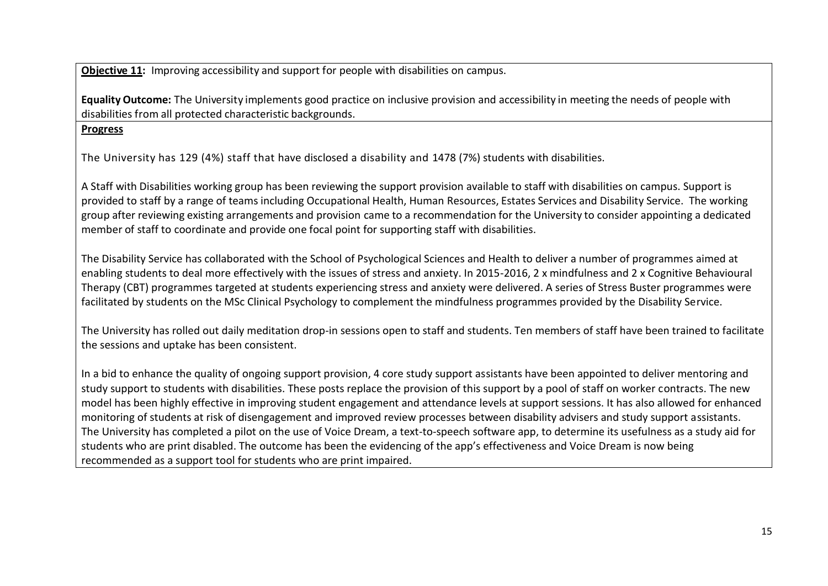**Objective 11:** Improving accessibility and support for people with disabilities on campus.

**Equality Outcome:** The University implements good practice on inclusive provision and accessibility in meeting the needs of people with disabilities from all protected characteristic backgrounds.

## **Progress**

The University has 129 (4%) staff that have disclosed a disability and 1478 (7%) students with disabilities.

A Staff with Disabilities working group has been reviewing the support provision available to staff with disabilities on campus. Support is provided to staff by a range of teams including Occupational Health, Human Resources, Estates Services and Disability Service. The working group after reviewing existing arrangements and provision came to a recommendation for the University to consider appointing a dedicated member of staff to coordinate and provide one focal point for supporting staff with disabilities.

The Disability Service has collaborated with the School of Psychological Sciences and Health to deliver a number of programmes aimed at enabling students to deal more effectively with the issues of stress and anxiety. In 2015-2016, 2 x mindfulness and 2 x Cognitive Behavioural Therapy (CBT) programmes targeted at students experiencing stress and anxiety were delivered. A series of Stress Buster programmes were facilitated by students on the MSc Clinical Psychology to complement the mindfulness programmes provided by the Disability Service.

The University has rolled out daily meditation drop-in sessions open to staff and students. Ten members of staff have been trained to facilitate the sessions and uptake has been consistent.

In a bid to enhance the quality of ongoing support provision, 4 core study support assistants have been appointed to deliver mentoring and study support to students with disabilities. These posts replace the provision of this support by a pool of staff on worker contracts. The new model has been highly effective in improving student engagement and attendance levels at support sessions. It has also allowed for enhanced monitoring of students at risk of disengagement and improved review processes between disability advisers and study support assistants. The University has completed a pilot on the use of Voice Dream, a text-to-speech software app, to determine its usefulness as a study aid for students who are print disabled. The outcome has been the evidencing of the app's effectiveness and Voice Dream is now being recommended as a support tool for students who are print impaired.